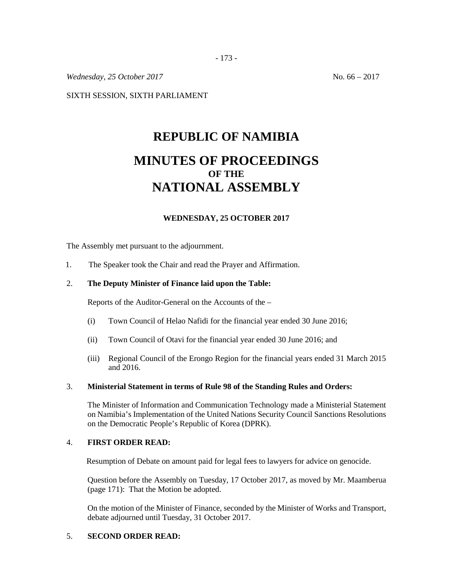*Wednesday, 25 October 2017* No. 66 – 2017

SIXTH SESSION, SIXTH PARLIAMENT

# **REPUBLIC OF NAMIBIA MINUTES OF PROCEEDINGS OF THE NATIONAL ASSEMBLY**

## **WEDNESDAY, 25 OCTOBER 2017**

The Assembly met pursuant to the adjournment.

1. The Speaker took the Chair and read the Prayer and Affirmation.

## 2. **The Deputy Minister of Finance laid upon the Table:**

Reports of the Auditor-General on the Accounts of the –

- (i) Town Council of Helao Nafidi for the financial year ended 30 June 2016;
- (ii) Town Council of Otavi for the financial year ended 30 June 2016; and
- (iii) Regional Council of the Erongo Region for the financial years ended 31 March 2015 and 2016.

## 3. **Ministerial Statement in terms of Rule 98 of the Standing Rules and Orders:**

The Minister of Information and Communication Technology made a Ministerial Statement on Namibia's Implementation of the United Nations Security Council Sanctions Resolutions on the Democratic People's Republic of Korea (DPRK).

## 4. **FIRST ORDER READ:**

Resumption of Debate on amount paid for legal fees to lawyers for advice on genocide.

Question before the Assembly on Tuesday, 17 October 2017, as moved by Mr. Maamberua (page 171): That the Motion be adopted.

On the motion of the Minister of Finance, seconded by the Minister of Works and Transport, debate adjourned until Tuesday, 31 October 2017.

## 5. **SECOND ORDER READ:**